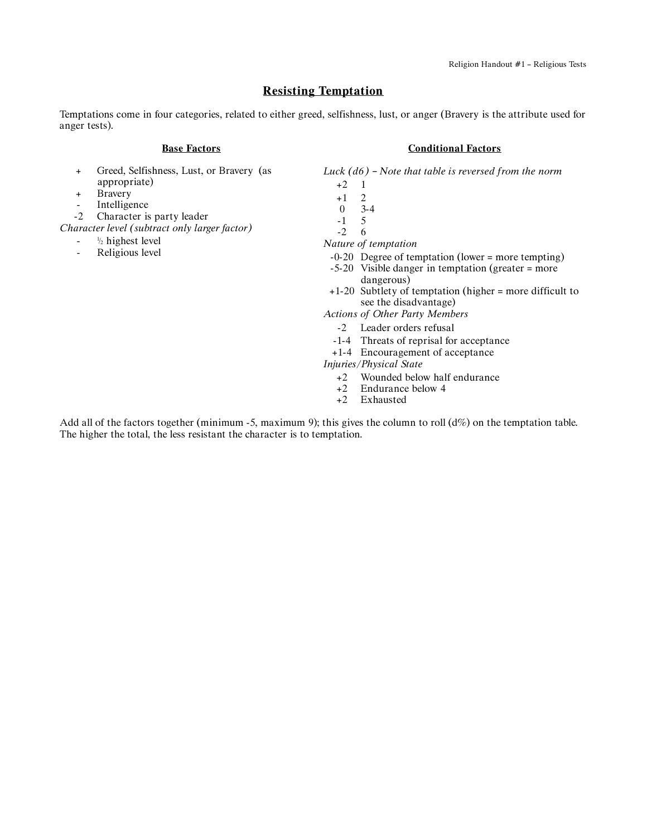# **Resisting Temptation**

Temptations come in four categories, related to either greed, selfishness, lust, or anger (Bravery is the attribute used for anger tests).

#### **Base Factors**

- + Greed, Selfishness, Lust, or Bravery (as appropriate)
- + Bravery
- Intelligence
- -2 Character is party leader
- *Character level (subtract only larger factor)*
	- $-$ <sup> $1/2$ </sup> highest level
	- Religious level

### **Conditional Factors**

*Luck (d6) – Note that table is reversed from the norm*

- +2 1
- $+1$  2<br>0 3
- $3-4$
- $\begin{matrix} -1 & 5 \\ -2 & 6 \end{matrix}$  $-2$
- *Nature of temptation*
	- -0-20 Degree of temptation (lower = more tempting)
	- -5-20 Visible danger in temptation (greater = more dangerous)
- +1-20 Subtlety of temptation (higher = more difficult to see the disadvantage)
- *Actions of Other Party Members*
	- -2 Leader orders refusal
	- -1-4 Threats of reprisal for acceptance
	- +1-4 Encouragement of acceptance

*Injuries/Physical State*

- +2 Wounded below half endurance
- $+2$  Endurance below 4<br> $+2$  Exhausted
- Exhausted

Add all of the factors together (minimum -5, maximum 9); this gives the column to roll  $(d\%)$  on the temptation table. The higher the total, the less resistant the character is to temptation.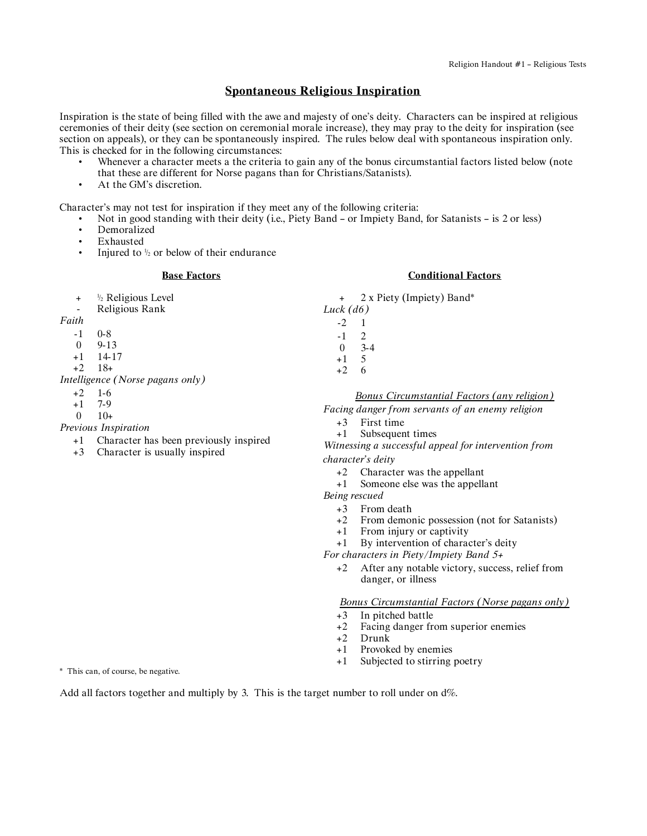### **Spontaneous Religious Inspiration**

Inspiration is the state of being filled with the awe and majesty of one's deity. Characters can be inspired at religious ceremonies of their deity (see section on ceremonial morale increase), they may pray to the deity for inspiration (see section on appeals), or they can be spontaneously inspired. The rules below deal with spontaneous inspiration only. This is checked for in the following circumstances:

- Whenever a character meets a the criteria to gain any of the bonus circumstantial factors listed below (note that these are different for Norse pagans than for Christians/Satanists).
- At the GM's discretion.

Character's may not test for inspiration if they meet any of the following criteria:

• Not in good standing with their deity (i.e., Piety Band – or Impiety Band, for Satanists – is 2 or less)

- **Demoralized**
- Exhausted<br>• Injured to
- Injured to  $\frac{1}{2}$  or below of their endurance

#### **Base Factors**

- $+$   $\frac{1}{2}$  Religious Level
- Religious Rank

*Faith*

- -1 0-8
- 0 9-13
- +1 14-17
- +2 18+

*Intelligence (Norse pagans only)*

- +2 1-6
- +1 7-9
- $0 \t 10+$

*Previous Inspiration*

- +1 Character has been previously inspired
- +3 Character is usually inspired

### **Conditional Factors**

+ 2 x Piety (Impiety) Band\* *Luck (d6)*

- -2 1 -1 2
- 0 3-4
- +1 5
- +2 6

#### *Bonus Circumstantial Factors (any religion)*

*Facing danger from servants of an enemy religion*

- +3 First time
- +1 Subsequent times

*Witnessing a successful appeal for intervention from character's deity*

- +2 Character was the appellant
- +1 Someone else was the appellant

*Being rescued*

- +3 From death
- +2 From demonic possession (not for Satanists)
- +1 From injury or captivity
- +1 By intervention of character's deity

*For characters in Piety/Impiety Band 5+*

+2 After any notable victory, success, relief from danger, or illness

*Bonus Circumstantial Factors (Norse pagans only)*

- +3 In pitched battle
- +2 Facing danger from superior enemies<br>+2 Drunk
- Drunk
- +1 Provoked by enemies
- +1 Subjected to stirring poetry

\* This can, of course, be negative.

Add all factors together and multiply by 3. This is the target number to roll under on d%.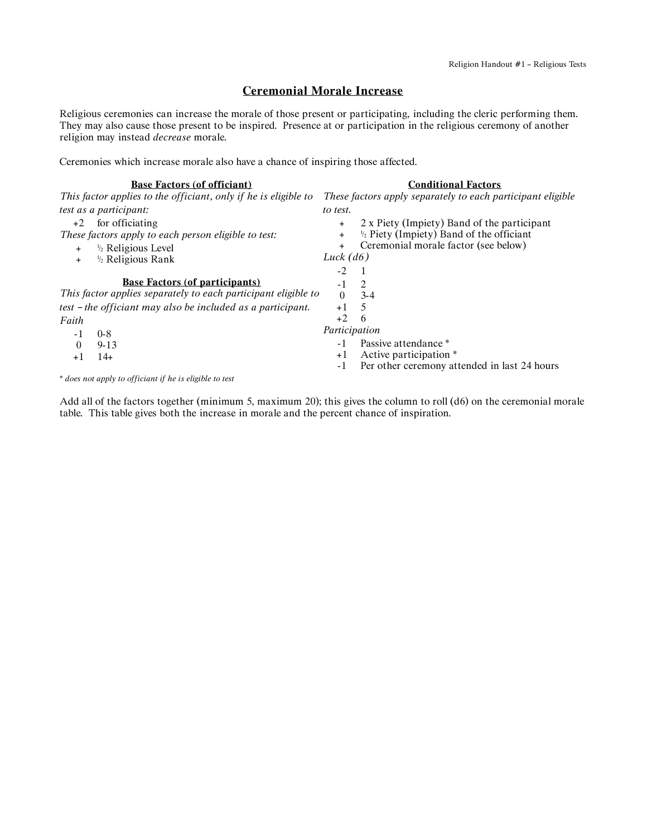## **Ceremonial Morale Increase**

Religious ceremonies can increase the morale of those present or participating, including the cleric performing them. They may also cause those present to be inspired. Presence at or participation in the religious ceremony of another religion may instead *decrease* morale.

Ceremonies which increase morale also have a chance of inspiring those affected.

| <b>Base Factors (of officiant)</b>                              | <b>Conditional Factors</b>                                       |
|-----------------------------------------------------------------|------------------------------------------------------------------|
| This factor applies to the officiant, only if he is eligible to | These factors apply separately to each participant eligible      |
| test as a participant:                                          | to test.                                                         |
| for officiating<br>$+2$                                         | 2 x Piety (Impiety) Band of the participant<br>$+$               |
| These factors apply to each person eligible to test:            | $\frac{1}{2}$ Piety (Impiety) Band of the officiant<br>$\ddot{}$ |
| $\frac{1}{2}$ Religious Level<br>$\ddot{}$                      | Ceremonial morale factor (see below)<br>$\ddot{}$                |
| <sup>1/2</sup> Religious Rank<br>$+$                            | Luck $(d6)$                                                      |
|                                                                 | $-2.$                                                            |
| <b>Base Factors (of participants)</b>                           | 2<br>$-1$                                                        |
| This factor applies separately to each participant eligible to  | $\Omega$<br>$3-4$                                                |
| test - the officiant may also be included as a participant.     | 5<br>$+1$                                                        |
| Faith                                                           | $+2$<br>6                                                        |
| $0 - 8$<br>- 1                                                  | Participation                                                    |
| $9 - 13$<br>$\theta$                                            | Passive attendance *                                             |
| $14+$<br>$+1$                                                   | Active participation *<br>$+1$                                   |
|                                                                 | Per other ceremony attended in last 24 hours<br>-1               |
|                                                                 |                                                                  |

*\* does not apply to officiant if he is eligible to test*

Add all of the factors together (minimum 5, maximum 20); this gives the column to roll (d6) on the ceremonial morale table. This table gives both the increase in morale and the percent chance of inspiration.